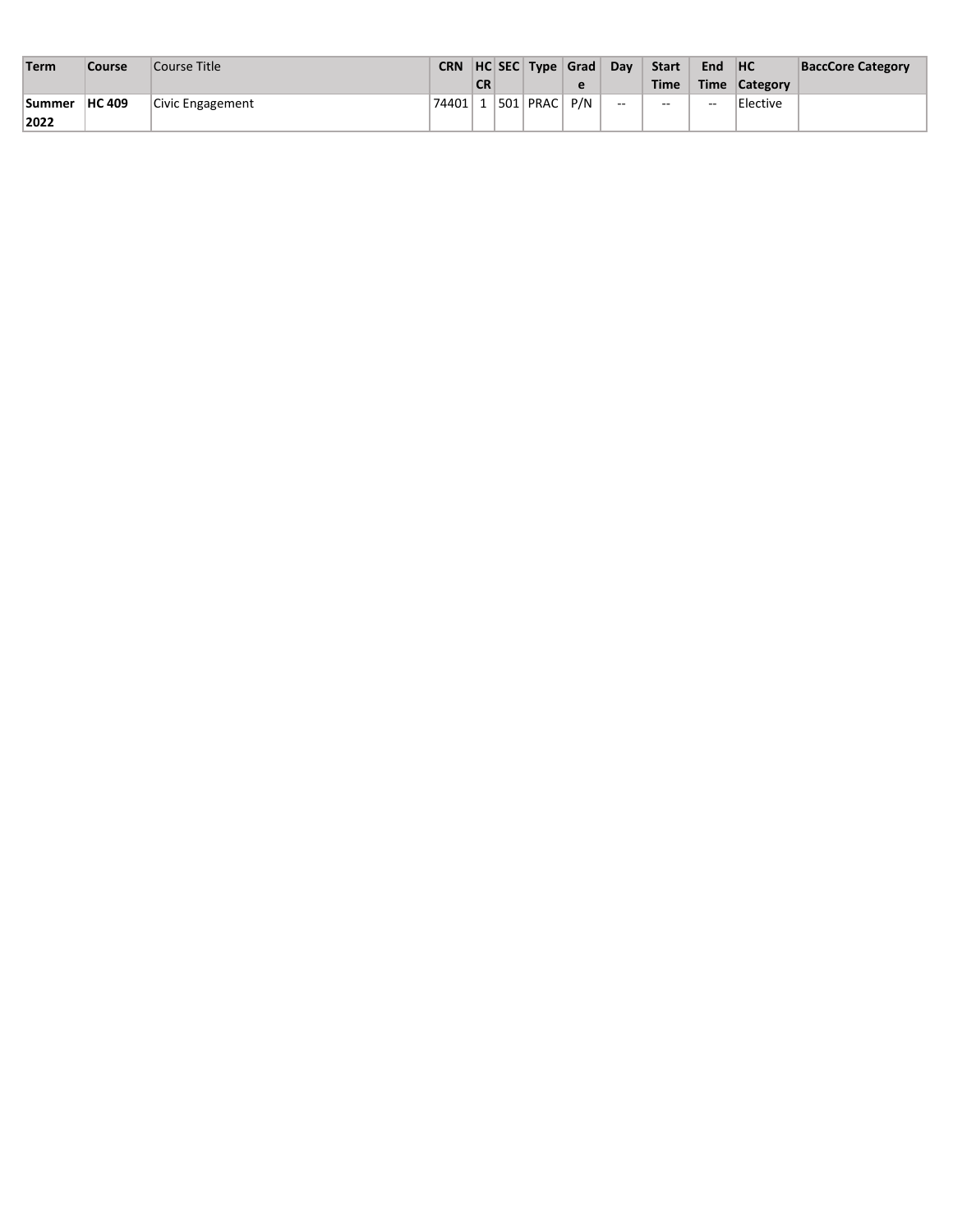| Term          | Course        | Course Title     |            |           | CRN HC SEC Type Grad |   | Dav    | <b>Start</b> | End           | H <sup>C</sup> | <b>BaccCore Category</b> |
|---------------|---------------|------------------|------------|-----------|----------------------|---|--------|--------------|---------------|----------------|--------------------------|
|               |               |                  |            | <b>CR</b> |                      | е |        | <b>Time</b>  | Time          | Category       |                          |
| <b>Summer</b> | <b>HC 409</b> | Civic Engagement | `74401∣1∣. |           | $ 501 $ PRAC $ P/N $ |   | $\sim$ | $-$          | $\sim$ $\sim$ | Elective       |                          |
| 2022          |               |                  |            |           |                      |   |        |              |               |                |                          |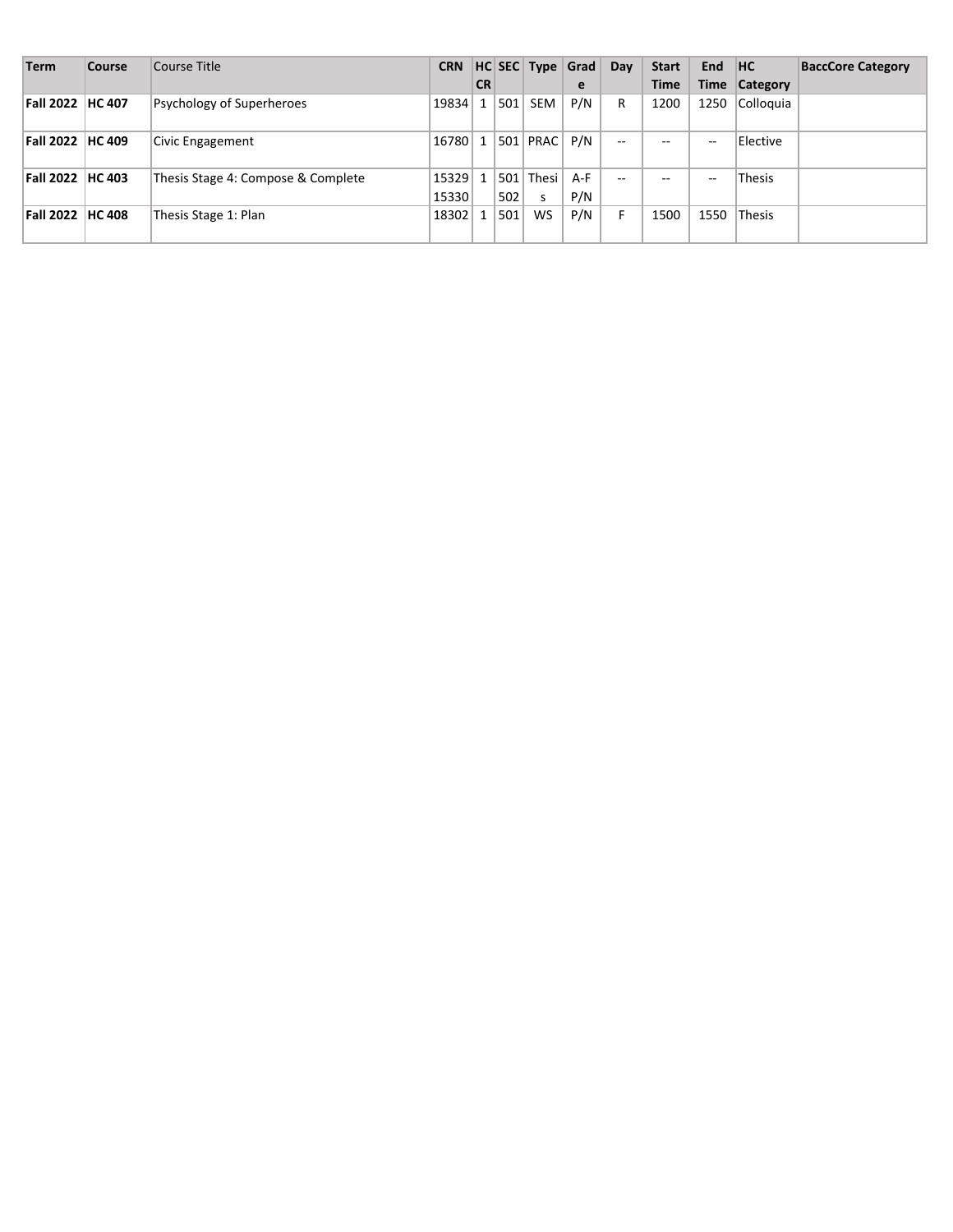| <b>Term</b>             | <b>Course</b> | Course Title                       |                |           |     | CRN $ HC $ SEC $ Type $ Grad |              | Day   | <b>Start</b> | End HC |               | <b>BaccCore Category</b> |
|-------------------------|---------------|------------------------------------|----------------|-----------|-----|------------------------------|--------------|-------|--------------|--------|---------------|--------------------------|
|                         |               |                                    |                | <b>CR</b> |     |                              | e            |       | <b>Time</b>  | Time   | Category      |                          |
| <b>Fall 2022 HC 407</b> |               | Psychology of Superheroes          | 19834          | 1         | 501 | <b>SEM</b>                   | P/N          | R     | 1200         | 1250   | Colloquia     |                          |
| Fall 2022  HC 409       |               | Civic Engagement                   | 16780          |           |     | $501$ PRAC $\overline{P/N}$  |              | $- -$ | --           | $- -$  | Elective      |                          |
| Fall 2022 HC 403        |               | Thesis Stage 4: Compose & Complete | 15329<br>15330 |           | 502 | 501   Thesi  <br>S           | $A-F$<br>P/N | $-$   | --           | $-$    | <b>Thesis</b> |                          |
| Fall 2022   HC 408      |               | Thesis Stage 1: Plan               | 18302          |           | 501 | <b>WS</b>                    | P/N          |       | 1500         | 1550   | <b>Thesis</b> |                          |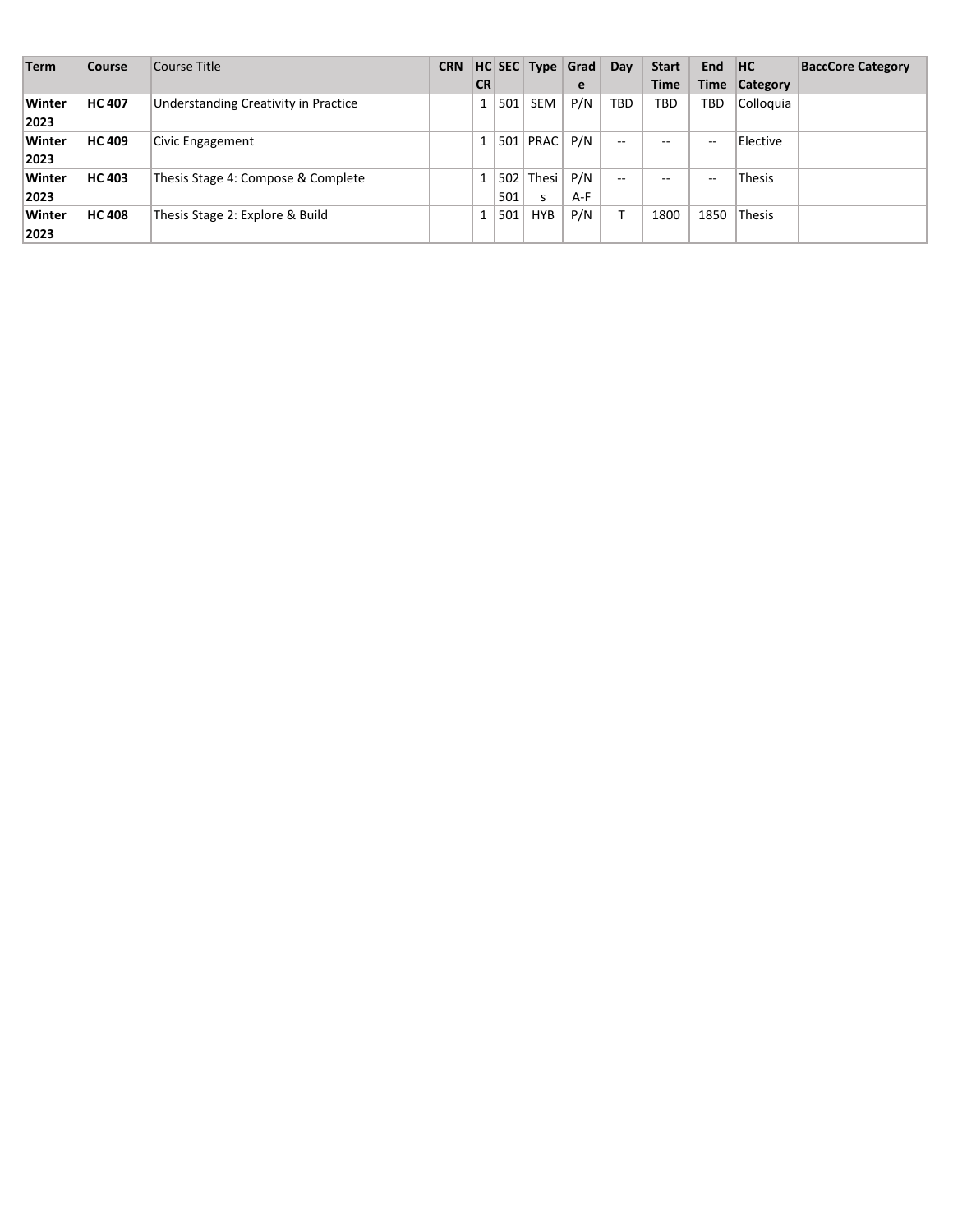| <b>Term</b> | Course        | Course Title                         | <b>CRN</b> |                |     |            | HC SEC Type Grad | Dav        | <b>Start</b> | End         | HC            | <b>BaccCore Category</b> |
|-------------|---------------|--------------------------------------|------------|----------------|-----|------------|------------------|------------|--------------|-------------|---------------|--------------------------|
|             |               |                                      |            | <b>CR</b>      |     |            | e                |            | <b>Time</b>  | <b>Time</b> | Category      |                          |
| Winter      | <b>HC 407</b> | Understanding Creativity in Practice |            | 1 <sup>1</sup> | 501 | <b>SEM</b> | P/N              | <b>TBD</b> | TBD          | TBD         | Colloquia     |                          |
| 2023        |               |                                      |            |                |     |            |                  |            |              |             |               |                          |
| Winter      | <b>HC 409</b> | Civic Engagement                     |            | 1 <sup>1</sup> |     | 501   PRAC | P/N              | $- -$      | $- -$        | $-$         | Elective      |                          |
| 2023        |               |                                      |            |                |     |            |                  |            |              |             |               |                          |
| Winter      | <b>HC 403</b> | Thesis Stage 4: Compose & Complete   |            |                |     | 502 Thesi  | P/N              | $-$        | $- -$        | $-$         | Thesis        |                          |
| 2023        |               |                                      |            |                | 501 | s          | A-F              |            |              |             |               |                          |
| Winter      | <b>HC 408</b> | Thesis Stage 2: Explore & Build      |            |                | 501 | <b>HYB</b> | P/N              |            | 1800         | 1850        | <b>Thesis</b> |                          |
| 2023        |               |                                      |            |                |     |            |                  |            |              |             |               |                          |